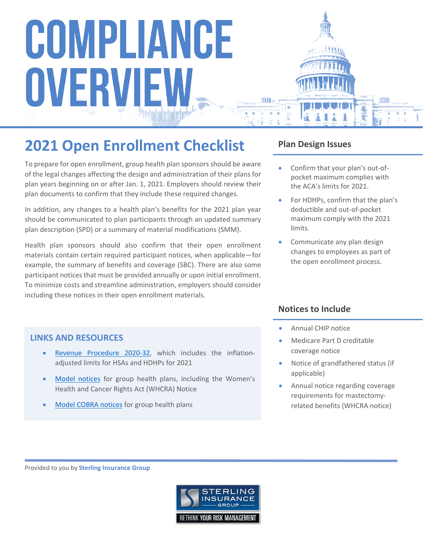### **2021 Open Enrollment Checklist**

To prepare for open enrollment, group health plan sponsors should be aware of the legal changes affecting the design and administration of their plans for plan years beginning on or after Jan. 1, 2021. Employers should review their plan documents to confirm that they include these required changes.

In addition, any changes to a health plan's benefits for the 2021 plan year should be communicated to plan participants through an updated summary plan description (SPD) or a summary of material modifications (SMM).

Health plan sponsors should also confirm that their open enrollment materials contain certain required participant notices, when applicable—for example, the summary of benefits and coverage (SBC). There are also some participant notices that must be provided annually or upon initial enrollment. To minimize costs and streamline administration, employers should consider including these notices in their open enrollment materials.

#### **LINKS AND RESOURCES**

- [Revenue Procedure 2020-32](https://www.irs.gov/pub/irs-drop/rp-20-32.pdf), which includes the inflationadjusted limits for HSAs and HDHPs for 2021
- [Model notices](https://www.dol.gov/sites/default/files/ebsa/about-ebsa/our-activities/resource-center/publications/compliance-assistance-guide-appendix-c.pdf) for group health plans, including the Women's Health and Cancer Rights Act (WHCRA) Notice
- [Model COBRA notices](https://www.dol.gov/agencies/ebsa/laws-and-regulations/laws/cobra) for group health plans

#### **Plan Design Issues**

- Confirm that your plan's out-ofpocket maximum complies with the ACA's limits for 2021.
- For HDHPs, confirm that the plan's deductible and out-of-pocket maximum comply with the 2021 limits.
- Communicate any plan design changes to employees as part of the open enrollment process.

#### **Notices to Include**

- Annual CHIP notice
- Medicare Part D creditable coverage notice
- Notice of grandfathered status (if applicable)
- Annual notice regarding coverage requirements for mastectomyrelated benefits (WHCRA notice)

Provided to you by **Sterling Insurance Group**

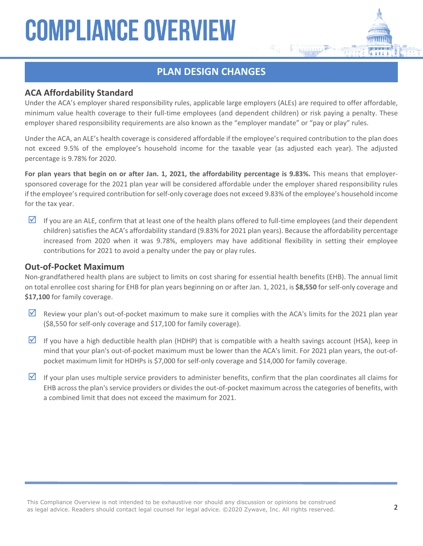#### **PLAN DESIGN CHANGES**

#### **ACA Affordability Standard**

Under the ACA's employer shared responsibility rules, applicable large employers (ALEs) are required to offer affordable, minimum value health coverage to their full-time employees (and dependent children) or risk paying a penalty. These employer shared responsibility requirements are also known as the "employer mandate" or "pay or play" rules.

Under the ACA, an ALE's health coverage is considered affordable if the employee's required contribution to the plan does not exceed 9.5% of the employee's household income for the taxable year (as adjusted each year). The adjusted percentage is 9.78% for 2020.

**For plan years that begin on or after Jan. 1, 2021, the affordability percentage is 9.83%.** This means that employersponsored coverage for the 2021 plan year will be considered affordable under the employer shared responsibility rules if the employee's required contribution for self-only coverage does not exceed 9.83% of the employee's household income for the tax year.

If you are an ALE, confirm that at least one of the health plans offered to full-time employees (and their dependent children) satisfies the ACA's affordability standard (9.83% for 2021 plan years). Because the affordability percentage increased from 2020 when it was 9.78%, employers may have additional flexibility in setting their employee contributions for 2021 to avoid a penalty under the pay or play rules.

#### **Out-of-Pocket Maximum**

Non-grandfathered health plans are subject to limits on cost sharing for essential health benefits (EHB). The annual limit on total enrollee cost sharing for EHB for plan years beginning on or after Jan. 1, 2021, is **\$8,550** for self-only coverage and **\$17,100** for family coverage.

- Review your plan's out-of-pocket maximum to make sure it complies with the ACA's limits for the 2021 plan year (\$8,550 for self-only coverage and \$17,100 for family coverage).
- If you have a high deductible health plan (HDHP) that is compatible with a health savings account (HSA), keep in mind that your plan's out-of-pocket maximum must be lower than the ACA's limit. For 2021 plan years, the out-ofpocket maximum limit for HDHPs is \$7,000 for self-only coverage and \$14,000 for family coverage.
- If your plan uses multiple service providers to administer benefits, confirm that the plan coordinates all claims for EHB across the plan's service providers or divides the out-of-pocket maximum across the categories of benefits, with a combined limit that does not exceed the maximum for 2021.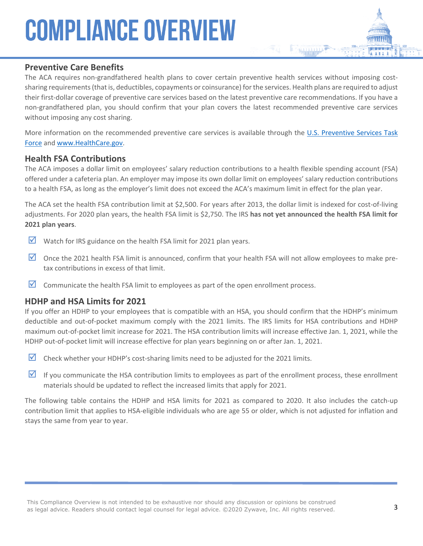#### **Preventive Care Benefits**

The ACA requires non-grandfathered health plans to cover certain preventive health services without imposing costsharing requirements (that is, deductibles, copayments or coinsurance) for the services. Health plans are required to adjust their first-dollar coverage of preventive care services based on the latest preventive care recommendations. If you have a non-grandfathered plan, you should confirm that your plan covers the latest recommended preventive care services without imposing any cost sharing.

More information on the recommended preventive care services is available through the U.S. Preventive Services Task [Force](http://www.uspreventiveservicestaskforce.org/Page/Name/uspstf-a-and-b-recommendations-by-date/) and [www.HealthCare.gov.](http://www.healthcare.gov/)

#### **Health FSA Contributions**

The ACA imposes a dollar limit on employees' salary reduction contributions to a health flexible spending account (FSA) offered under a cafeteria plan. An employer may impose its own dollar limit on employees' salary reduction contributions to a health FSA, as long as the employer's limit does not exceed the ACA's maximum limit in effect for the plan year.

The ACA set the health FSA contribution limit at \$2,500. For years after 2013, the dollar limit is indexed for cost-of-living adjustments. For 2020 plan years, the health FSA limit is \$2,750. The IRS **has not yet announced the health FSA limit for 2021 plan years**.

- $\triangleright$  Watch for IRS guidance on the health FSA limit for 2021 plan years.
- $\triangledown$  Once the 2021 health FSA limit is announced, confirm that your health FSA will not allow employees to make pretax contributions in excess of that limit.
- $\triangledown$  Communicate the health FSA limit to employees as part of the open enrollment process.

#### **HDHP and HSA Limits for 2021**

If you offer an HDHP to your employees that is compatible with an HSA, you should confirm that the HDHP's minimum deductible and out-of-pocket maximum comply with the 2021 limits. The IRS limits for HSA contributions and HDHP maximum out-of-pocket limit increase for 2021. The HSA contribution limits will increase effective Jan. 1, 2021, while the HDHP out-of-pocket limit will increase effective for plan years beginning on or after Jan. 1, 2021.

- Check whether your HDHP's cost-sharing limits need to be adjusted for the 2021 limits.
- If you communicate the HSA contribution limits to employees as part of the enrollment process, these enrollment materials should be updated to reflect the increased limits that apply for 2021.

The following table contains the HDHP and HSA limits for 2021 as compared to 2020. It also includes the catch-up contribution limit that applies to HSA-eligible individuals who are age 55 or older, which is not adjusted for inflation and stays the same from year to year.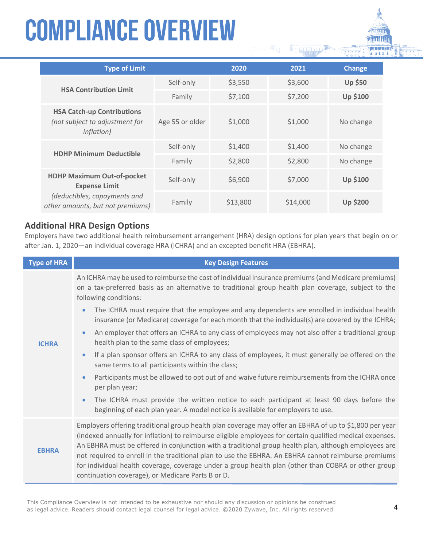| <b>Type of Limit</b>                                                                                                          |                 | 2020     | 2021     | <b>Change</b>   |
|-------------------------------------------------------------------------------------------------------------------------------|-----------------|----------|----------|-----------------|
| <b>HSA Contribution Limit</b>                                                                                                 | Self-only       | \$3,550  | \$3,600  | <b>Up \$50</b>  |
|                                                                                                                               | Family          | \$7,100  | \$7,200  | <b>Up \$100</b> |
| <b>HSA Catch-up Contributions</b><br>(not subject to adjustment for<br><i>inflation</i> )                                     | Age 55 or older | \$1,000  | \$1,000  | No change       |
| <b>HDHP Minimum Deductible</b>                                                                                                | Self-only       | \$1,400  | \$1,400  | No change       |
|                                                                                                                               | Family          | \$2,800  | \$2,800  | No change       |
| <b>HDHP Maximum Out-of-pocket</b><br><b>Expense Limit</b><br>(deductibles, copayments and<br>other amounts, but not premiums) | Self-only       | \$6,900  | \$7,000  | <b>Up \$100</b> |
|                                                                                                                               | Family          | \$13,800 | \$14,000 | <b>Up \$200</b> |

#### **Additional HRA Design Options**

Employers have two additional health reimbursement arrangement (HRA) design options for plan years that begin on or after Jan. 1, 2020—an individual coverage HRA (ICHRA) and an excepted benefit HRA (EBHRA).

| <b>Type of HRA</b> | <b>Key Design Features</b>                                                                                                                                                                                                                                                                                                                                                                                                                                                                                                                                                                    |
|--------------------|-----------------------------------------------------------------------------------------------------------------------------------------------------------------------------------------------------------------------------------------------------------------------------------------------------------------------------------------------------------------------------------------------------------------------------------------------------------------------------------------------------------------------------------------------------------------------------------------------|
| <b>ICHRA</b>       | An ICHRA may be used to reimburse the cost of individual insurance premiums (and Medicare premiums)<br>on a tax-preferred basis as an alternative to traditional group health plan coverage, subject to the<br>following conditions:                                                                                                                                                                                                                                                                                                                                                          |
|                    | The ICHRA must require that the employee and any dependents are enrolled in individual health<br>$\bullet$<br>insurance (or Medicare) coverage for each month that the individual(s) are covered by the ICHRA;                                                                                                                                                                                                                                                                                                                                                                                |
|                    | An employer that offers an ICHRA to any class of employees may not also offer a traditional group<br>$\bullet$<br>health plan to the same class of employees;                                                                                                                                                                                                                                                                                                                                                                                                                                 |
|                    | If a plan sponsor offers an ICHRA to any class of employees, it must generally be offered on the<br>$\bullet$<br>same terms to all participants within the class;                                                                                                                                                                                                                                                                                                                                                                                                                             |
|                    | Participants must be allowed to opt out of and waive future reimbursements from the ICHRA once<br>$\bullet$<br>per plan year;                                                                                                                                                                                                                                                                                                                                                                                                                                                                 |
|                    | The ICHRA must provide the written notice to each participant at least 90 days before the<br>$\bullet$<br>beginning of each plan year. A model notice is available for employers to use.                                                                                                                                                                                                                                                                                                                                                                                                      |
| <b>EBHRA</b>       | Employers offering traditional group health plan coverage may offer an EBHRA of up to \$1,800 per year<br>(indexed annually for inflation) to reimburse eligible employees for certain qualified medical expenses.<br>An EBHRA must be offered in conjunction with a traditional group health plan, although employees are<br>not required to enroll in the traditional plan to use the EBHRA. An EBHRA cannot reimburse premiums<br>for individual health coverage, coverage under a group health plan (other than COBRA or other group<br>continuation coverage), or Medicare Parts B or D. |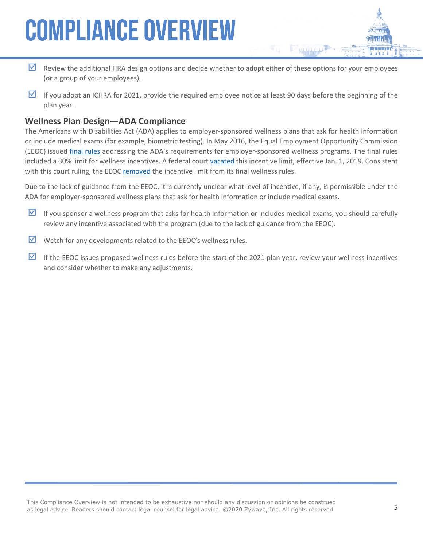- Review the additional HRA design options and decide whether to adopt either of these options for your employees (or a group of your employees).
- If you adopt an ICHRA for 2021, provide the required employee notice at least 90 days before the beginning of the plan year.

#### **Wellness Plan Design—ADA Compliance**

The Americans with Disabilities Act (ADA) applies to employer-sponsored wellness plans that ask for health information or include medical exams (for example, biometric testing). In May 2016, the Equal Employment Opportunity Commission (EEOC) issued [final rules](https://www.federalregister.gov/articles/2016/05/17/2016-11558/regulations-under-the-americans-with-disabilities-act) addressing the ADA's requirements for employer-sponsored wellness programs. The final rules included a 30% limit for wellness incentives. A federal court [vacated](https://ecf.dcd.uscourts.gov/cgi-bin/show_public_doc?2016cv2113-55) this incentive limit, effective Jan. 1, 2019. Consistent with this court ruling, the EEOC [removed](https://www.federalregister.gov/documents/2018/12/20/2018-27539/removal-of-final-ada-wellness-rule-vacated-by-court) the incentive limit from its final wellness rules.

Due to the lack of guidance from the EEOC, it is currently unclear what level of incentive, if any, is permissible under the ADA for employer-sponsored wellness plans that ask for health information or include medical exams.

- If you sponsor a wellness program that asks for health information or includes medical exams, you should carefully review any incentive associated with the program (due to the lack of guidance from the EEOC).
- $\triangledown$  Watch for any developments related to the EEOC's wellness rules.
- If the EEOC issues proposed wellness rules before the start of the 2021 plan year, review your wellness incentives and consider whether to make any adjustments.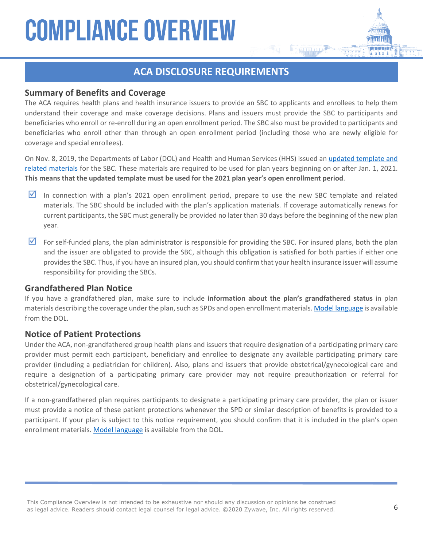#### **ACA DISCLOSURE REQUIREMENTS**

#### **Summary of Benefits and Coverage**

The ACA requires health plans and health insurance issuers to provide an SBC to applicants and enrollees to help them understand their coverage and make coverage decisions. Plans and issuers must provide the SBC to participants and beneficiaries who enroll or re-enroll during an open enrollment period. The SBC also must be provided to participants and beneficiaries who enroll other than through an open enrollment period (including those who are newly eligible for coverage and special enrollees).

On Nov. 8, 2019, the Departments of Labor (DOL) and Health and Human Services (HHS) issued an [updated template and](https://www.cms.gov/cciio/Resources/forms-reports-and-other-resources/index.html#Summary%20of%20Benefits%20and%20Coverage%20and%20Uniform%20Glossary)  [related materials](https://www.cms.gov/cciio/Resources/forms-reports-and-other-resources/index.html#Summary%20of%20Benefits%20and%20Coverage%20and%20Uniform%20Glossary) for the SBC. These materials are required to be used for plan years beginning on or after Jan. 1, 2021. **This means that the updated template must be used for the 2021 plan year's open enrollment period**.

- In connection with a plan's 2021 open enrollment period, prepare to use the new SBC template and related materials. The SBC should be included with the plan's application materials. If coverage automatically renews for current participants, the SBC must generally be provided no later than 30 days before the beginning of the new plan year.
- $\triangledown$  For self-funded plans, the plan administrator is responsible for providing the SBC. For insured plans, both the plan and the issuer are obligated to provide the SBC, although this obligation is satisfied for both parties if either one provides the SBC. Thus, if you have an insured plan, you should confirm that your health insurance issuer will assume responsibility for providing the SBCs.

#### **Grandfathered Plan Notice**

If you have a grandfathered plan, make sure to include **information about the plan's grandfathered status** in plan materials describing the coverage under the plan, such as SPDs and open enrollment materials. [Model language](https://www.dol.gov/sites/default/files/ebsa/laws-and-regulations/laws/affordable-care-act/for-employers-and-advisers/grandfathered-health-plans-model-notice.doc) is available from the DOL.

#### **Notice of Patient Protections**

Under the ACA, non-grandfathered group health plans and issuers that require designation of a participating primary care provider must permit each participant, beneficiary and enrollee to designate any available participating primary care provider (including a pediatrician for children). Also, plans and issuers that provide obstetrical/gynecological care and require a designation of a participating primary care provider may not require preauthorization or referral for obstetrical/gynecological care.

If a non-grandfathered plan requires participants to designate a participating primary care provider, the plan or issuer must provide a notice of these patient protections whenever the SPD or similar description of benefits is provided to a participant. If your plan is subject to this notice requirement, you should confirm that it is included in the plan's open enrollment materials. [Model language](https://www.dol.gov/sites/default/files/ebsa/laws-and-regulations/laws/affordable-care-act/for-employers-and-advisers/patient-protection-model-notice.doc) is available from the DOL.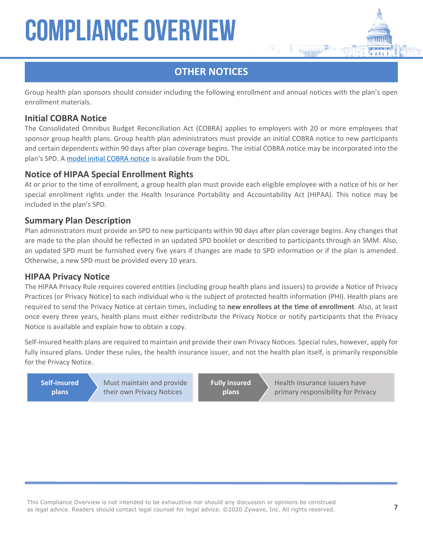#### **OTHER NOTICES**

Group health plan sponsors should consider including the following enrollment and annual notices with the plan's open enrollment materials.

#### **Initial COBRA Notice**

The Consolidated Omnibus Budget Reconciliation Act (COBRA) applies to employers with 20 or more employees that sponsor group health plans. Group health plan administrators must provide an initial COBRA notice to new participants and certain dependents within 90 days after plan coverage begins. The initial COBRA notice may be incorporated into the plan's SPD. A [model initial COBRA notice](https://www.dol.gov/sites/dolgov/files/EBSA/laws-and-regulations/laws/cobra/model-general-notice.docx) is available from the DOL.

#### **Notice of HIPAA Special Enrollment Rights**

At or prior to the time of enrollment, a group health plan must provide each eligible employee with a notice of his or her special enrollment rights under the Health Insurance Portability and Accountability Act (HIPAA). This notice may be included in the plan's SPD.

#### **Summary Plan Description**

Plan administrators must provide an SPD to new participants within 90 days after plan coverage begins. Any changes that are made to the plan should be reflected in an updated SPD booklet or described to participants through an SMM. Also, an updated SPD must be furnished every five years if changes are made to SPD information or if the plan is amended. Otherwise, a new SPD must be provided every 10 years.

#### **HIPAA Privacy Notice**

The HIPAA Privacy Rule requires covered entities (including group health plans and issuers) to provide a Notice of Privacy Practices (or Privacy Notice) to each individual who is the subject of protected health information (PHI). Health plans are required to send the Privacy Notice at certain times, including to **new enrollees at the time of enrollment**. Also, at least once every three years, health plans must either redistribute the Privacy Notice or notify participants that the Privacy Notice is available and explain how to obtain a copy.

Self-insured health plans are required to maintain and provide their own Privacy Notices. Special rules, however, apply for fully insured plans. Under these rules, the health insurance issuer, and not the health plan itself, is primarily responsible for the Privacy Notice.

**Self-insured plans**

Must maintain and provide their own Privacy Notices

**Fully insured plans**

Health insurance issuers have primary responsibility for Privacy

Notices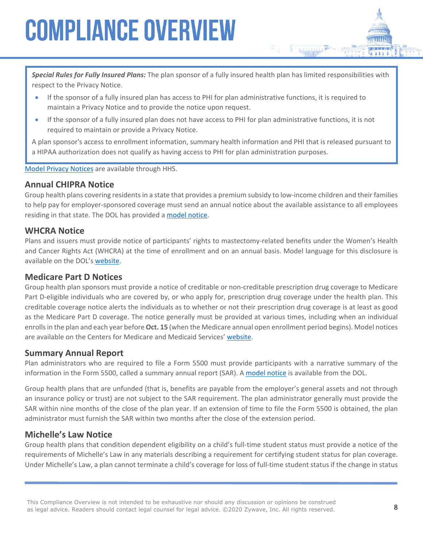*Special Rules for Fully Insured Plans:* The plan sponsor of a fully insured health plan has limited responsibilities with respect to the Privacy Notice.

- If the sponsor of a fully insured plan has access to PHI for plan administrative functions, it is required to maintain a Privacy Notice and to provide the notice upon request.
- If the sponsor of a fully insured plan does not have access to PHI for plan administrative functions, it is not required to maintain or provide a Privacy Notice.

A plan sponsor's access to enrollment information, summary health information and PHI that is released pursuant to a HIPAA authorization does not qualify as having access to PHI for plan administration purposes.

#### [Model Privacy Notices](http://www.hhs.gov/hipaa/for-professionals/privacy/guidance/model-notices-privacy-practices/) are available through HHS.

#### **Annual CHIPRA Notice**

Group health plans covering residents in a state that provides a premium subsidy to low-income children and their families to help pay for employer-sponsored coverage must send an annual notice about the available assistance to all employees residing in that state. The DOL has provided a [model notice](https://www.dol.gov/sites/default/files/ebsa/laws-and-regulations/laws/chipra/model-notice.doc).

#### **WHCRA Notice**

Plans and issuers must provide notice of participants' rights to mastectomy-related benefits under the Women's Health and Cancer Rights Act (WHCRA) at the time of enrollment and on an annual basis. Model language for this disclosure is available on the DOL's [website.](https://www.dol.gov/sites/default/files/ebsa/about-ebsa/our-activities/resource-center/publications/compliance-assistance-guide-appendix-c.pdf)

#### **Medicare Part D Notices**

Group health plan sponsors must provide a notice of creditable or non-creditable prescription drug coverage to Medicare Part D-eligible individuals who are covered by, or who apply for, prescription drug coverage under the health plan. This creditable coverage notice alerts the individuals as to whether or not their prescription drug coverage is at least as good as the Medicare Part D coverage. The notice generally must be provided at various times, including when an individual enrolls in the plan and each year before **Oct. 15** (when the Medicare annual open enrollment period begins). Model notices are available on the Centers for Medicare and Medicaid Services' [website.](https://www.cms.gov/Medicare/Prescription-Drug-Coverage/CreditableCoverage/Model-Notice-Letters.html)

#### **Summary Annual Report**

Plan administrators who are required to file a Form 5500 must provide participants with a narrative summary of the information in the Form 5500, called a summary annual report (SAR). A [model notice](https://www.dol.gov/sites/dolgov/files/EBSA/employers-and-advisers/plan-administration-and-compliance/form-sar-welfare-plan.docx) is available from the DOL.

Group health plans that are unfunded (that is, benefits are payable from the employer's general assets and not through an insurance policy or trust) are not subject to the SAR requirement. The plan administrator generally must provide the SAR within nine months of the close of the plan year. If an extension of time to file the Form 5500 is obtained, the plan administrator must furnish the SAR within two months after the close of the extension period.

#### **Michelle's Law Notice**

Group health plans that condition dependent eligibility on a child's full-time student status must provide a notice of the requirements of Michelle's Law in any materials describing a requirement for certifying student status for plan coverage. Under Michelle's Law, a plan cannot terminate a child's coverage for loss of full-time student status if the change in status